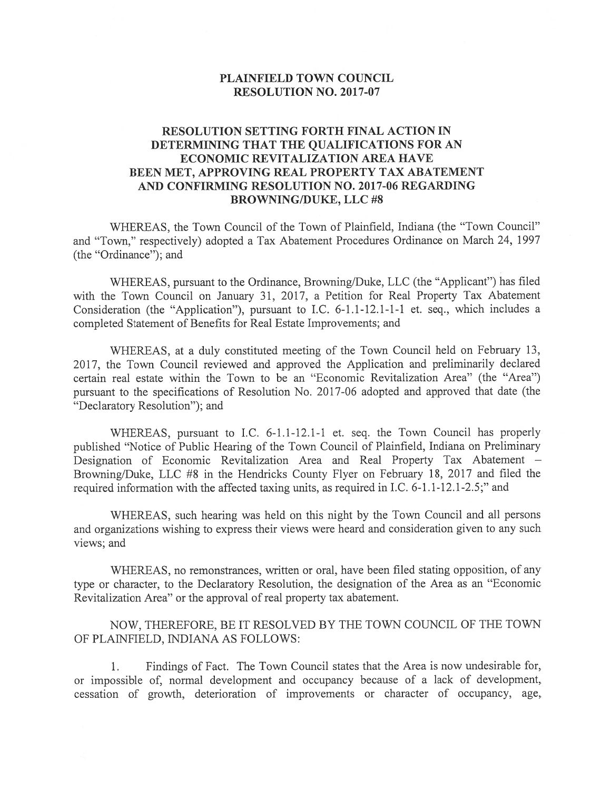## PLAINFIELD TOWN COUNCIL RESOLUTION NO. 2017-07

## RESOLUTION SETTING FORTH FINAL ACTION IN DETERMINING THAT THE QUALIFICATIONS FOR AN ECONOMIC REVITALIZATION AREA HAVE BEEN MET, APPROVING REAL PROPERTY TAX ABATEMENT AND CONFIRMING RESOLUTION NO. 2017-06 REGARDING BROWNING/DUKE, LLC #8

WHEREAS, the Town Council of the Town of Plainfield, Indiana (the "Town Council" and "Town," respectively) adopted <sup>a</sup> Tax Abatement Procedures Ordinance on March 24, 1997 (the "Ordinance"); and

WHEREAS, pursuan<sup>t</sup> to the Ordinance, Browning/Duke, LLC (the "Applicant") has filed with the Town Council on January 31, 2017, <sup>a</sup> Petition for Real Property Tax Abatement Consideration (the "Application"), pursuan<sup>t</sup> to I.C. 6-1.1-12.1-1-1 et. seq., which includes <sup>a</sup> completed Statement of Benefits for Real Estate Improvements; and

WHEREAS, at <sup>a</sup> duly constituted meeting of the Town Council held on February 13, 2017, the Town Council reviewed and approved the Application and preliminarily declared certain real estate within the Town to be an "Economic Revitalization Area" (the "Area") pursuan<sup>t</sup> to the specifications of Resolution No. 2017-06 adopted and approve<sup>d</sup> that date (the "Declaratory Resolution"); and

WHEREAS, pursuan<sup>t</sup> to I.C. 6-1.1-12.1-1 et. seq. the Town Council has properly published "Notice of Public Hearing of the Town Council of Plainfield, Indiana on Preliminary Designation of Economic Revitalization Area and Real Property Tax Abatement — Browning/Duke, LLC #8 in the Hendricks County Flyer on February 18, <sup>2017</sup> and filed the required information with the affected taxing units, as required in I.C. 6-1.1-12.1-2.5;" and

WHEREAS, such hearing was held on this night by the Town Council and all persons and organizations wishing to express their views were heard and consideration <sup>g</sup>iven to any such views; and

WHEREAS, no remonstrances, written or oral, have been filed stating opposition, of any type or character, to the Declaratory Resolution, the designation of the Area as an "Economic Revitalization Area" or the approval of real property tax abatement.

NOW, THEREFORE, BE IT RESOLVED BY THE TOWN COUNCIL OF THE TOWN OF PLAINFIELD, INDIANA AS FOLLOWS:

1. Findings of Fact. The Town Council states that the Area is now undesirable for, or impossible of, normal development and occupancy because of <sup>a</sup> lack of development, cessation of growth, deterioration of improvements or character of occupancy, age,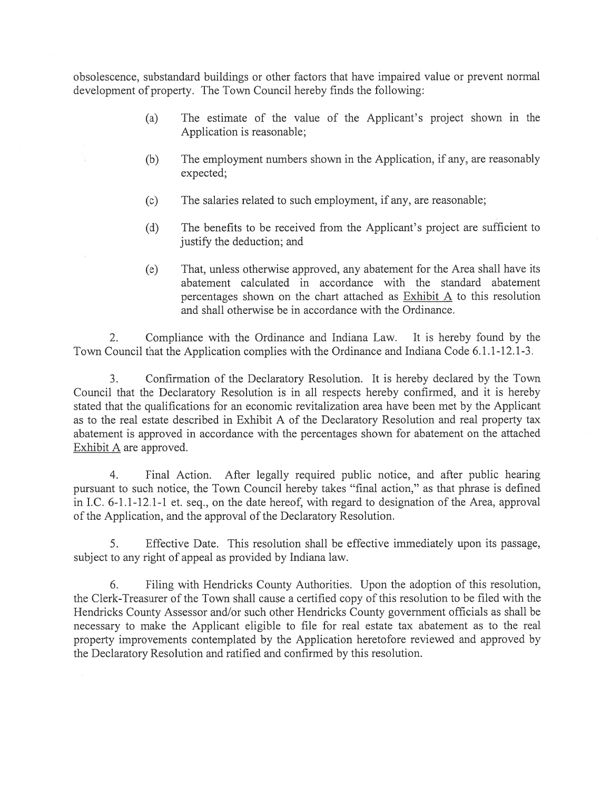obsolescence, substandard buildings or other factors that have impaired value or preven<sup>t</sup> normal development of property. The Town Council hereby finds the following:

- (a) The estimate of the value of the Applicant's project shown in the Application is reasonable;
- (b) The employment numbers shown in the Application, if any, are reasonably expected;
- (c) The salaries related to such employment, if any, are reasonable;
- (d) The benefits to be received from the Applicant's project are sufficient to justify the deduction; and
- (e) That, unless otherwise approved, any abatement for the Area shall have its abatement calculated in accordance with the standard abatement percentages shown on the chart attached as  $Exhibit A$  to this resolution and shall otherwise be in accordance with the Ordinance.

2. Compliance with the Ordinance and Indiana Law. It is hereby found by the Town Council that the Application complies with the Ordinance and Indiana Code 6.1.1-12.1-3.

3. Confirmation of the Declaratory Resolution. It is hereby declared by the Town Council that the Declaratory Resolution is in all respects hereby confirmed, and it is hereby stated that the qualifications for an economic revitalization area have been met by the Applicant as to the real estate described in Exhibit A of the Declaratory Resolution and real property tax abatement is approved in accordance with the percentages shown for abatement on the attached Exhibit A are approved.

4. Final Action. After legally required public notice, and after public hearing pursuan<sup>t</sup> to such notice, the Town Council hereby takes "final action," as that phrase is defined in I.C. 6-1.1-12.1-1 et. seq., on the date hereof, with regard to designation of the Area, approval of the Application, and the approval of the Declaratory Resolution.

5. Effective Date. This resolution shall be effective immediately upon its passage, subject to any right of appeal as provided by Indiana law.

6. Filing with Hendricks County Authorities. Upon the adoption of this resolution, the Clerk-Treasurer of the Town shall cause <sup>a</sup> certified copy of this resolution to be filed with the Hendricks County Assessor and/or such other Hendricks County governmen<sup>t</sup> officials as shall be necessary to make the Applicant eligible to file for real estate tax abatement as to the real property improvements contemplated by the Application heretofore reviewed and approved by the Declaratory Resolution and ratified and confirmed by this resolution.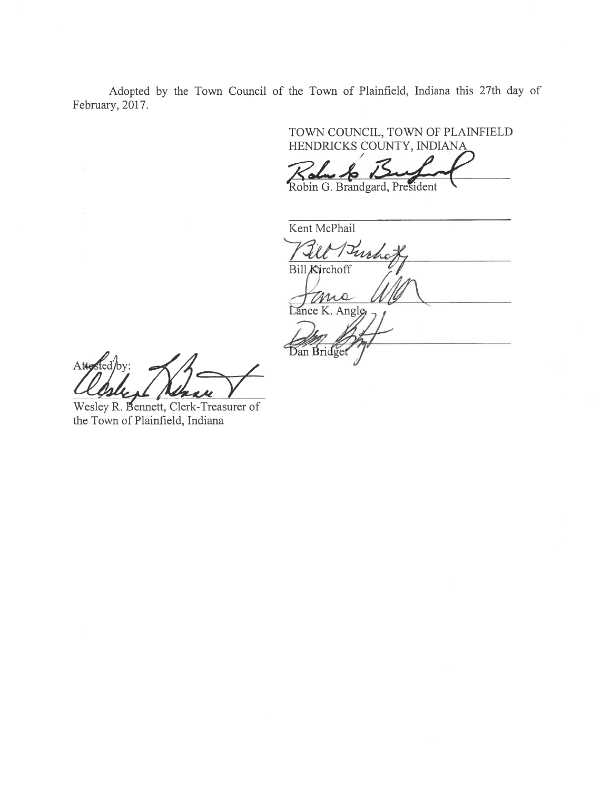Adopted by the Town Council of the Town of Plainfield, Indiana this 27th day of February, 2017.

> TOWN COUNCIL, TOWN OF PLAINFIELD HENDRICKS COUNTY, INDIANA

Robin G. Brandgard, President

Kent McPhail Buch J **Bill Kirchoff** mo Lance K. Angle Dan Bridge

 $\mathcal{E}_{\text{ed}}$ /by:  $Atte$ 

Wesley R. Bennett, Clerk-Treasurer of the Town of Plainfield, Indiana